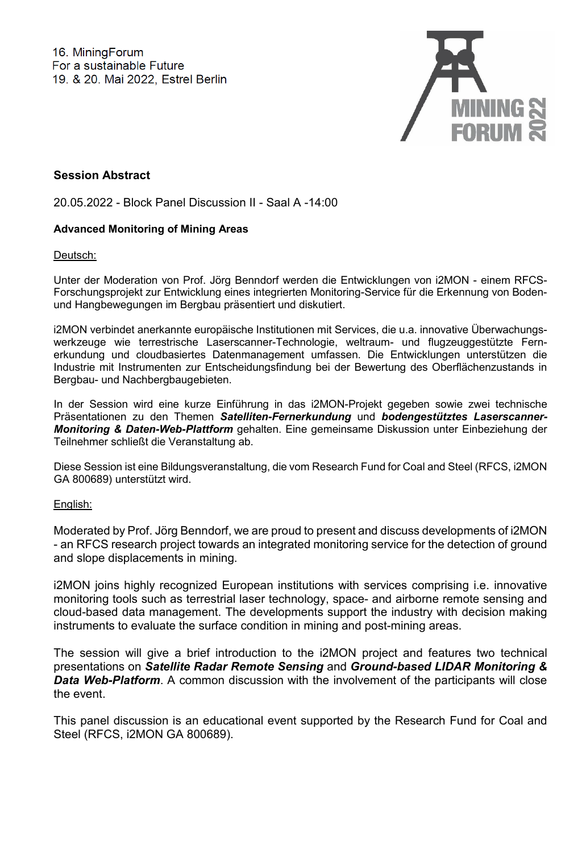

# **Session Abstract**

20.05.2022 - Block Panel Discussion II - Saal A -14:00

# **Advanced Monitoring of Mining Areas**

Deutsch:

Unter der Moderation von Prof. Jörg Benndorf werden die Entwicklungen von i2MON - einem RFCS-Forschungsprojekt zur Entwicklung eines integrierten Monitoring-Service für die Erkennung von Bodenund Hangbewegungen im Bergbau präsentiert und diskutiert.

i2MON verbindet anerkannte europäische Institutionen mit Services, die u.a. innovative Überwachungswerkzeuge wie terrestrische Laserscanner-Technologie, weltraum- und flugzeuggestützte Fernerkundung und cloudbasiertes Datenmanagement umfassen. Die Entwicklungen unterstützen die Industrie mit Instrumenten zur Entscheidungsfindung bei der Bewertung des Oberflächenzustands in Bergbau- und Nachbergbaugebieten.

In der Session wird eine kurze Einführung in das i2MON-Projekt gegeben sowie zwei technische Präsentationen zu den Themen *Satelliten-Fernerkundung* und *bodengestütztes Laserscanner-Monitoring & Daten-Web-Plattform* gehalten. Eine gemeinsame Diskussion unter Einbeziehung der Teilnehmer schließt die Veranstaltung ab.

Diese Session ist eine Bildungsveranstaltung, die vom Research Fund for Coal and Steel (RFCS, i2MON GA 800689) unterstützt wird.

# English:

Moderated by Prof. Jörg Benndorf, we are proud to present and discuss developments of i2MON - an RFCS research project towards an integrated monitoring service for the detection of ground and slope displacements in mining.

i2MON joins highly recognized European institutions with services comprising i.e. innovative monitoring tools such as terrestrial laser technology, space- and airborne remote sensing and cloud-based data management. The developments support the industry with decision making instruments to evaluate the surface condition in mining and post-mining areas.

The session will give a brief introduction to the i2MON project and features two technical presentations on *Satellite Radar Remote Sensing* and *Ground-based LIDAR Monitoring &*  **Data Web-Platform**. A common discussion with the involvement of the participants will close the event.

This panel discussion is an educational event supported by the Research Fund for Coal and Steel (RFCS, i2MON GA 800689).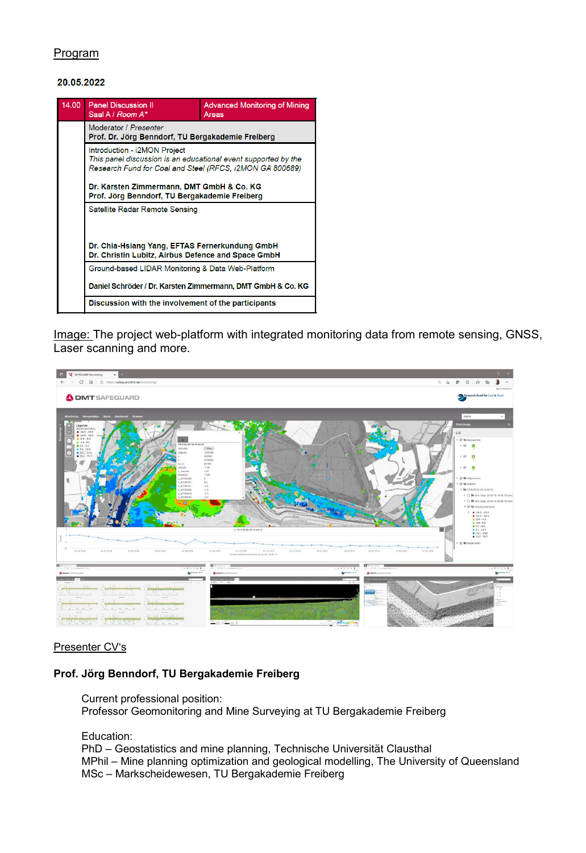# Program

#### 20.05.2022



Image: The project web-platform with integrated monitoring data from remote sensing, GNSS, Laser scanning and more.



### Presenter CV's

### **Prof. Jörg Benndorf, TU Bergakademie Freiberg**

Current professional position: Professor Geomonitoring and Mine Surveying at TU Bergakademie Freiberg

Education:

PhD – Geostatistics and mine planning, Technische Universität Clausthal MPhil – Mine planning optimization and geological modelling, The University of Queensland MSc – Markscheidewesen, TU Bergakademie Freiberg